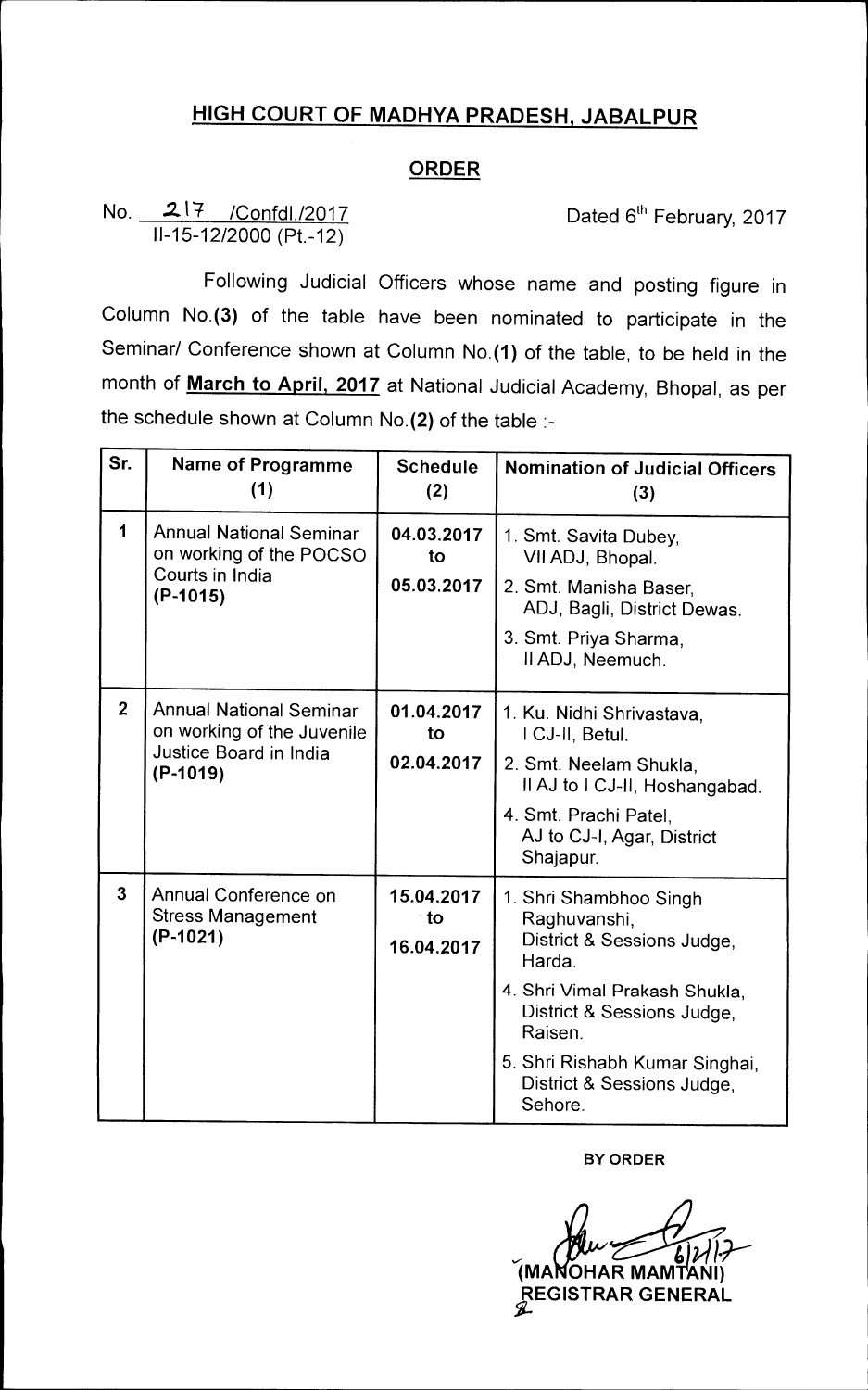## **HIGH COURT OF MADHYA PRADESH, JABALPUR**

## **ORDER**

## **No. 2.14 /Confdl./2017 Dated 6th February, 2017 11-15-12/2000 (Pt.-12)**

**Following Judicial Officers whose name and posting figure in Column No.(3) of the table have been nominated to participate in the Seminar/ Conference shown at Column No.(1) of the table, to be held in the month of March to April, 2017 at National Judicial Academy, Bhopal, as per the schedule shown at Column No.(2) of the table :-** 

| Sr.            | <b>Name of Programme</b><br>(1)                                                                      | <b>Schedule</b><br>(2) | <b>Nomination of Judicial Officers</b><br>(3)                                  |
|----------------|------------------------------------------------------------------------------------------------------|------------------------|--------------------------------------------------------------------------------|
| $\mathbf 1$    | <b>Annual National Seminar</b><br>on working of the POCSO<br>Courts in India<br>$(P-1015)$           | 04.03.2017<br>to       | 1. Smt. Savita Dubey,<br>VII ADJ, Bhopal.                                      |
|                |                                                                                                      | 05.03.2017             | 2. Smt. Manisha Baser,<br>ADJ, Bagli, District Dewas.                          |
|                |                                                                                                      |                        | 3. Smt. Priya Sharma,<br>Il ADJ, Neemuch.                                      |
| 2 <sup>1</sup> | <b>Annual National Seminar</b><br>on working of the Juvenile<br>Justice Board in India<br>$(P-1019)$ | 01.04.2017<br>to       | 1. Ku. Nidhi Shrivastava,<br>I CJ-II, Betul.                                   |
|                |                                                                                                      | 02.04.2017             | 2. Smt. Neelam Shukla,<br>Il AJ to I CJ-II, Hoshangabad.                       |
|                |                                                                                                      |                        | 4. Smt. Prachi Patel,<br>AJ to CJ-I, Agar, District<br>Shajapur.               |
| $\mathbf{3}$   | Annual Conference on<br><b>Stress Management</b><br>$(P-1021)$                                       | 15.04.2017<br>to       | 1. Shri Shambhoo Singh<br>Raghuvanshi,<br>District & Sessions Judge,<br>Harda. |
|                |                                                                                                      | 16.04.2017             |                                                                                |
|                |                                                                                                      |                        | 4. Shri Vimal Prakash Shukla,<br>District & Sessions Judge,<br>Raisen.         |
|                |                                                                                                      |                        | 5. Shri Rishabh Kumar Singhai,<br>District & Sessions Judge,<br>Sehore.        |

**BY ORDER** 

**(MA OHAR MAM1 ANI) 4)7/11' REGISTRAR GENERAL 2Z-**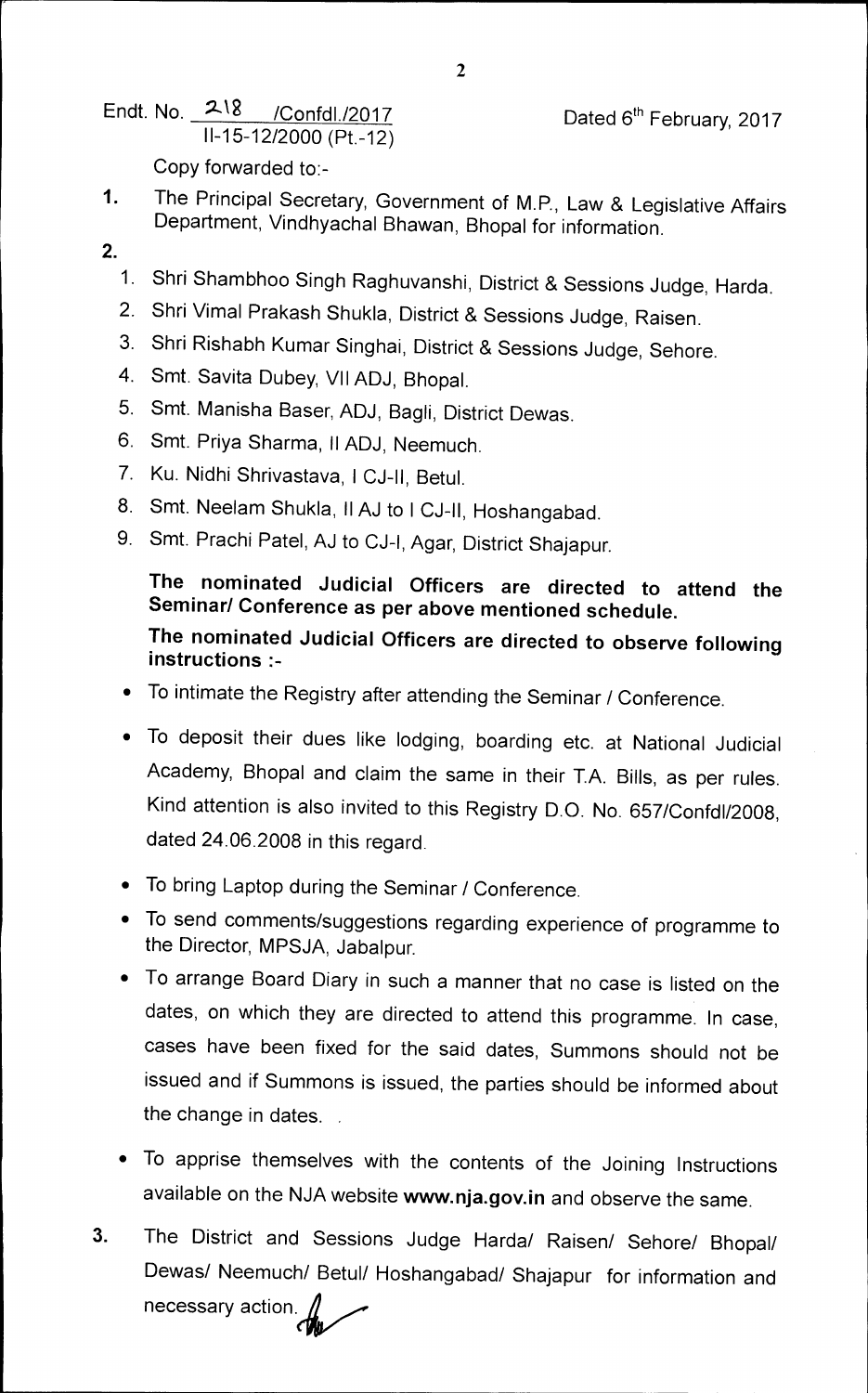Endt. No. 218 / Confdl./2017 Dated 6<sup>th</sup> February, 2017 11-15-12/2000 (Pt.-12)

Copy forwarded to:-

- 1. The Principal Secretary, Government of M.P., Law & Legislative Affairs Department, Vindhyachal Bhawan, Bhopal for information.
- **2.** 
	- 1. Shri Shambhoo Singh Raghuvanshi, District & Sessions Judge, Harda.
	- 2. Shri Vimal Prakash Shukla, District & Sessions Judge, Raisen.
	- 3. Shri Rishabh Kumar Singhai, District & Sessions Judge, Sehore.
	- 4. Smt. Savita Dubey, VII ADJ, Bhopal.
	- 5. Smt. Manisha Baser, ADJ, Bagli, District Dewas.
	- 6. Smt. Priya Sharma, II ADJ, Neemuch.
	- 7. Ku. Nidhi Shrivastava, I CJ-II, Betul.
	- 8. Smt. Neelam Shukla, II AJ to 1 CJ-II, Hoshangabad.
	- 9. Smt. Prachi Patel, AJ to CJ-I, Agar, District Shajapur.

## **The nominated Judicial Officers are directed to attend the Seminar/ Conference as per above mentioned schedule. The nominated Judicial Officers are directed to observe following instructions**

- To intimate the Registry after attending the Seminar / Conference.
- To deposit their dues like lodging, boarding etc. at National Judicial Academy, Bhopal and claim the same in their T.A. Bills, as per rules. Kind attention is also invited to this Registry D.O. No. 657/Confdl/2008, dated 24.06.2008 in this regard.
- To bring Laptop during the Seminar / Conference.
- To send comments/suggestions regarding experience of programme to the Director, MPSJA, Jabalpur.
- To arrange Board Diary in such a manner that no case is listed on the dates, on which they are directed to attend this programme. In case, cases have been fixed for the said dates, Summons should not be issued and if Summons is issued, the parties should be informed about the change in dates. .
- To apprise themselves with the contents of the Joining Instructions available on the NJA website **www.nja.gov.in** and observe the same.
- **3.** The District and Sessions Judge Harda/ Raisen/ Sehore/ Bhopal/ Dewas/ Neemuch/ Betul/ Hoshangabad/ Shajapur for information and necessary action.